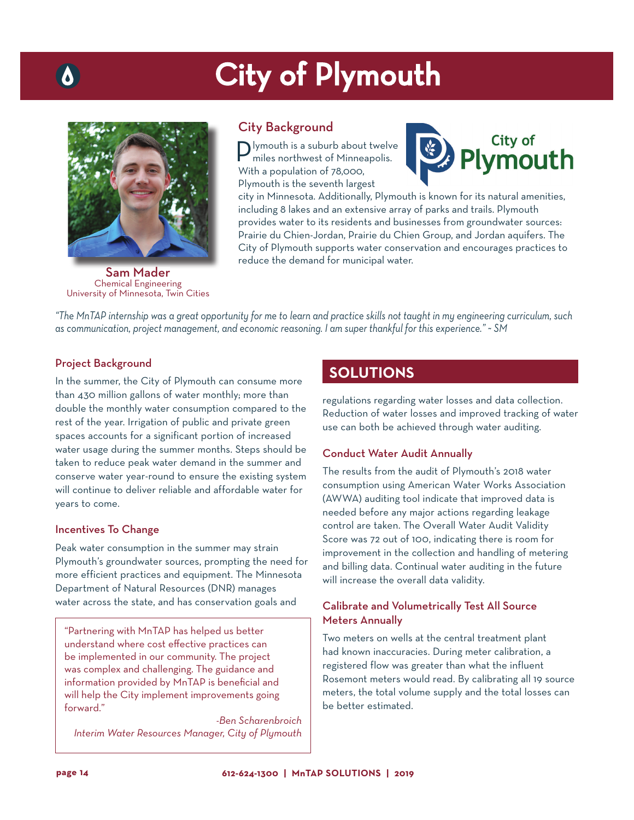# City of Plymouth



Sam Mader Chemical Engineering University of Minnesota, Twin Cities

# City Background

**P**lymouth is a suburb about twelve miles northwest of Minneapolis. With a population of 78,000, Plymouth is the seventh largest



city in Minnesota. Additionally, Plymouth is known for its natural amenities, including 8 lakes and an extensive array of parks and trails. Plymouth provides water to its residents and businesses from groundwater sources: Prairie du Chien-Jordan, Prairie du Chien Group, and Jordan aquifers. The City of Plymouth supports water conservation and encourages practices to reduce the demand for municipal water.

*"The MnTAP internship was a great opportunity for me to learn and practice skills not taught in my engineering curriculum, such as communication, project management, and economic reasoning. I am super thankful for this experience." ~ SM*

## Project Background

In the summer, the City of Plymouth can consume more than 430 million gallons of water monthly; more than double the monthly water consumption compared to the rest of the year. Irrigation of public and private green spaces accounts for a significant portion of increased water usage during the summer months. Steps should be taken to reduce peak water demand in the summer and conserve water year-round to ensure the existing system will continue to deliver reliable and affordable water for years to come.

#### Incentives To Change

Peak water consumption in the summer may strain Plymouth's groundwater sources, prompting the need for more efficient practices and equipment. The Minnesota Department of Natural Resources (DNR) manages water across the state, and has conservation goals and

"Partnering with MnTAP has helped us better understand where cost effective practices can be implemented in our community. The project was complex and challenging. The guidance and information provided by MnTAP is beneficial and will help the City implement improvements going forward."

*-Ben Scharenbroich Interim Water Resources Manager, City of Plymouth*

# **SOLUTIONS**

regulations regarding water losses and data collection. Reduction of water losses and improved tracking of water use can both be achieved through water auditing.

#### Conduct Water Audit Annually

The results from the audit of Plymouth's 2018 water consumption using American Water Works Association (AWWA) auditing tool indicate that improved data is needed before any major actions regarding leakage control are taken. The Overall Water Audit Validity Score was 72 out of 100, indicating there is room for improvement in the collection and handling of metering and billing data. Continual water auditing in the future will increase the overall data validity.

# Calibrate and Volumetrically Test All Source Meters Annually

Two meters on wells at the central treatment plant had known inaccuracies. During meter calibration, a registered flow was greater than what the influent Rosemont meters would read. By calibrating all 19 source meters, the total volume supply and the total losses can be better estimated.